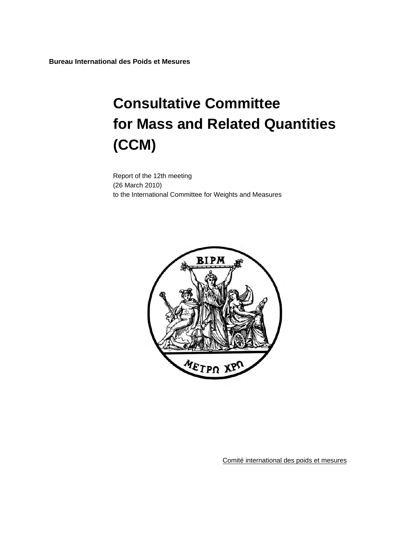**Bureau International des Poids et Mesures** 

# **Consultative Committee for Mass and Related Quantities (CCM)**

Report of the 12th meeting (26 March 2010) to the International Committee for Weights and Measures



Comité international des poids et mesures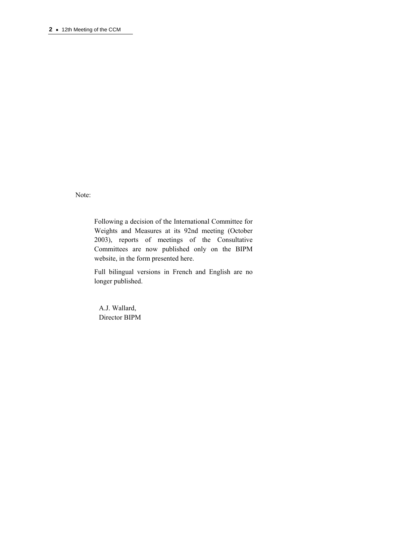Note:

Following a decision of the International Committee for Weights and Measures at its 92nd meeting (October 2003), reports of meetings of the Consultative Committees are now published only on the BIPM website, in the form presented here.

Full bilingual versions in French and English are no longer published.

 A.J. Wallard, Director BIPM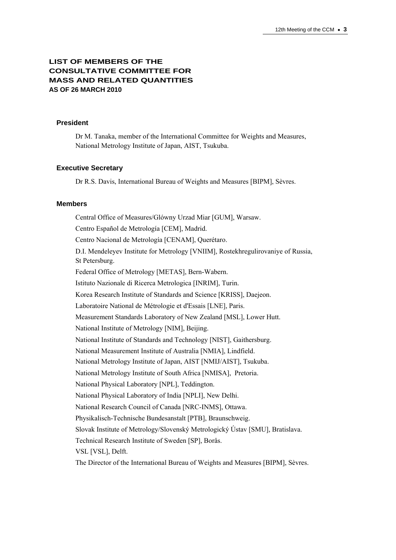# **LIST OF MEMBERS OF THE CONSULTATIVE COMMITTEE FOR MASS AND RELATED QUANTITIES AS OF 26 MARCH 2010**

## **President**

Dr M. Tanaka, member of the International Committee for Weights and Measures, National Metrology Institute of Japan, AIST, Tsukuba.

#### **Executive Secretary**

Dr R.S. Davis, International Bureau of Weights and Measures [BIPM], Sèvres.

#### **Members**

Central Office of Measures/Glόwny Urzad Miar [GUM], Warsaw. Centro Español de Metrología [CEM], Madrid. Centro Nacional de Metrología [CENAM], Querétaro. D.I. Mendeleyev Institute for Metrology [VNIIM], Rostekhregulirovaniye of Russia, St Petersburg. Federal Office of Metrology [METAS], Bern-Wabern. Istituto Nazionale di Ricerca Metrologica [INRIM], Turin. Korea Research Institute of Standards and Science [KRISS], Daejeon. Laboratoire National de Métrologie et d'Essais [LNE], Paris. Measurement Standards Laboratory of New Zealand [MSL], Lower Hutt. National Institute of Metrology [NIM], Beijing. National Institute of Standards and Technology [NIST], Gaithersburg. National Measurement Institute of Australia [NMIA], Lindfield. National Metrology Institute of Japan, AIST [NMIJ/AIST], Tsukuba. National Metrology Institute of South Africa [NMISA], Pretoria. National Physical Laboratory [NPL], Teddington. National Physical Laboratory of India [NPLI], New Delhi. National Research Council of Canada [NRC-INMS], Ottawa. Physikalisch-Technische Bundesanstalt [PTB], Braunschweig. Slovak Institute of Metrology/Slovenský Metrologický Ústav [SMU], Bratislava. Technical Research Institute of Sweden [SP], Borås. VSL [VSL], Delft. The Director of the International Bureau of Weights and Measures [BIPM], Sèvres.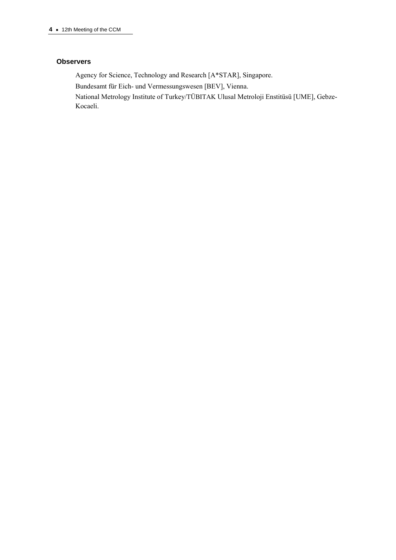## **Observers**

Agency for Science, Technology and Research [A\*STAR], Singapore.

Bundesamt für Eich- und Vermessungswesen [[BEV\]](http://www.bev.gv.at/), Vienna.

National Metrology Institute of Turkey/TÜBITAK Ulusal Metroloji Enstitüsü [UME], Gebze-Kocaeli.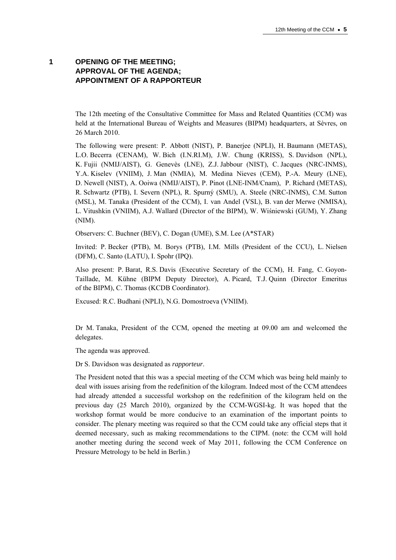# **1 OPENING OF THE MEETING; APPROVAL OF THE AGENDA; APPOINTMENT OF A RAPPORTEUR**

The 12th meeting of the Consultative Committee for Mass and Related Quantities (CCM) was held at the International Bureau of Weights and Measures (BIPM) headquarters, at Sèvres, on 26 March 2010.

The following were present: P. Abbott (NIST), P. Banerjee (NPLI), H. Baumann (METAS), L.O. Becerra (CENAM), W. Bich (I.N.RI.M), J.W. Chung (KRISS), S. Davidson (NPL), K. Fujii (NMIJ/AIST), G. Genevès (LNE), Z.J. Jabbour (NIST), C. Jacques (NRC-INMS), Y.A. Kiselev (VNIIM), J. Man (NMIA), M. Medina Nieves (CEM), P.-A. Meury (LNE), D. Newell (NIST), A. Ooiwa (NMIJ/AIST), P. Pinot (LNE-INM/Cnam), P. Richard (METAS), R. Schwartz (PTB), I. Severn (NPL), R. Spurný (SMU), A. Steele (NRC-INMS), C.M. Sutton (MSL), M. Tanaka (President of the CCM), I. van Andel (VSL), B. van der Merwe (NMISA), L. Vitushkin (VNIIM), A.J. Wallard (Director of the BIPM), W. Wiśniewski (GUM), Y. Zhang (NIM).

Observers: C. Buchner (BEV), C. Dogan (UME), S.M. Lee (A\*STAR)

Invited: P. Becker (PTB), M. Borys (PTB), I.M. Mills (President of the CCU), L. Nielsen (DFM), C. Santo (LATU), I. Spohr (IPQ).

Also present: P. Barat, R.S. Davis (Executive Secretary of the CCM), H. Fang, C. Goyon-Taillade, M. Kühne (BIPM Deputy Director), A. Picard, T.J. Quinn (Director Emeritus of the BIPM), C. Thomas (KCDB Coordinator).

Excused: R.C. Budhani (NPLI), N.G. Domostroeva (VNIIM).

Dr M. Tanaka, President of the CCM, opened the meeting at 09.00 am and welcomed the delegates.

The agenda was approved.

Dr S. Davidson was designated as *rapporteur*.

The President noted that this was a special meeting of the CCM which was being held mainly to deal with issues arising from the redefinition of the kilogram. Indeed most of the CCM attendees had already attended a successful workshop on the redefinition of the kilogram held on the previous day (25 March 2010), organized by the CCM-WGSI-kg. It was hoped that the workshop format would be more conducive to an examination of the important points to consider. The plenary meeting was required so that the CCM could take any official steps that it deemed necessary, such as making recommendations to the CIPM. (note: the CCM will hold another meeting during the second week of May 2011, following the CCM Conference on Pressure Metrology to be held in Berlin.)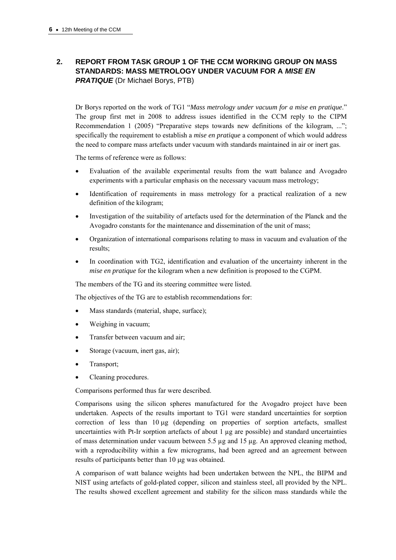# **2. REPORT FROM TASK GROUP 1 OF THE CCM WORKING GROUP ON MASS STANDARDS: MASS METROLOGY UNDER VACUUM FOR A** *MISE EN*  **PRATIQUE** (Dr Michael Borys, PTB)

Dr Borys reported on the work of TG1 "*Mass metrology under vacuum for a mise en pratique*." The group first met in 2008 to address issues identified in the CCM reply to the CIPM Recommendation 1 (2005) "Preparative steps towards new definitions of the kilogram, ..."; specifically the requirement to establish a *mise en pratique* a component of which would address the need to compare mass artefacts under vacuum with standards maintained in air or inert gas.

The terms of reference were as follows:

- Evaluation of the available experimental results from the watt balance and Avogadro experiments with a particular emphasis on the necessary vacuum mass metrology;
- Identification of requirements in mass metrology for a practical realization of a new definition of the kilogram;
- Investigation of the suitability of artefacts used for the determination of the Planck and the Avogadro constants for the maintenance and dissemination of the unit of mass;
- Organization of international comparisons relating to mass in vacuum and evaluation of the results;
- In coordination with TG2, identification and evaluation of the uncertainty inherent in the *mise en pratique* for the kilogram when a new definition is proposed to the CGPM.

The members of the TG and its steering committee were listed.

The objectives of the TG are to establish recommendations for:

- Mass standards (material, shape, surface);
- Weighing in vacuum;
- Transfer between vacuum and air;
- Storage (vacuum, inert gas, air);
- Transport;
- Cleaning procedures.

Comparisons performed thus far were described.

Comparisons using the silicon spheres manufactured for the Avogadro project have been undertaken. Aspects of the results important to TG1 were standard uncertainties for sorption correction of less than  $10 \mu$ g (depending on properties of sorption artefacts, smallest uncertainties with Pt-Ir sorption artefacts of about  $1 \mu g$  are possible) and standard uncertainties of mass determination under vacuum between 5.5  $\mu$ g and 15  $\mu$ g. An approved cleaning method, with a reproducibility within a few micrograms, had been agreed and an agreement between results of participants better than 10 µg was obtained.

A comparison of watt balance weights had been undertaken between the NPL, the BIPM and NIST using artefacts of gold-plated copper, silicon and stainless steel, all provided by the NPL. The results showed excellent agreement and stability for the silicon mass standards while the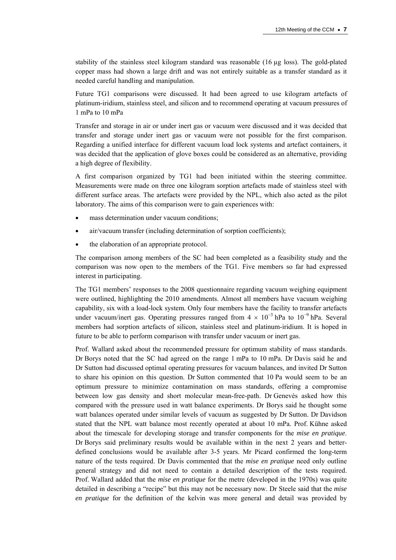stability of the stainless steel kilogram standard was reasonable (16 µg loss). The gold-plated copper mass had shown a large drift and was not entirely suitable as a transfer standard as it needed careful handling and manipulation.

Future TG1 comparisons were discussed. It had been agreed to use kilogram artefacts of platinum-iridium, stainless steel, and silicon and to recommend operating at vacuum pressures of 1 mPa to 10 mPa

Transfer and storage in air or under inert gas or vacuum were discussed and it was decided that transfer and storage under inert gas or vacuum were not possible for the first comparison. Regarding a unified interface for different vacuum load lock systems and artefact containers, it was decided that the application of glove boxes could be considered as an alternative, providing a high degree of flexibility.

A first comparison organized by TG1 had been initiated within the steering committee. Measurements were made on three one kilogram sorption artefacts made of stainless steel with different surface areas. The artefacts were provided by the NPL, which also acted as the pilot laboratory. The aims of this comparison were to gain experiences with:

- mass determination under vacuum conditions;
- air/vacuum transfer (including determination of sorption coefficients);
- the elaboration of an appropriate protocol.

The comparison among members of the SC had been completed as a feasibility study and the comparison was now open to the members of the TG1. Five members so far had expressed interest in participating.

The TG1 members' responses to the 2008 questionnaire regarding vacuum weighing equipment were outlined, highlighting the 2010 amendments. Almost all members have vacuum weighing capability, six with a load-lock system. Only four members have the facility to transfer artefacts under vacuum/inert gas. Operating pressures ranged from  $4 \times 10^{-3}$  hPa to  $10^{-9}$  hPa. Several members had sorption artefacts of silicon, stainless steel and platinum-iridium. It is hoped in future to be able to perform comparison with transfer under vacuum or inert gas.

Prof. Wallard asked about the recommended pressure for optimum stability of mass standards. Dr Borys noted that the SC had agreed on the range 1 mPa to 10 mPa. Dr Davis said he and Dr Sutton had discussed optimal operating pressures for vacuum balances, and invited Dr Sutton to share his opinion on this question. Dr Sutton commented that 10 Pa would seem to be an optimum pressure to minimize contamination on mass standards, offering a compromise between low gas density and short molecular mean-free-path. Dr Genevès asked how this compared with the pressure used in watt balance experiments. Dr Borys said he thought some watt balances operated under similar levels of vacuum as suggested by Dr Sutton. Dr Davidson stated that the NPL watt balance most recently operated at about 10 mPa. Prof. Kühne asked about the timescale for developing storage and transfer components for the *mise en pratique*. Dr Borys said preliminary results would be available within in the next 2 years and betterdefined conclusions would be available after 3-5 years. Mr Picard confirmed the long-term nature of the tests required. Dr Davis commented that the *mise en pratique* need only outline general strategy and did not need to contain a detailed description of the tests required. Prof. Wallard added that the *mise en pratique* for the metre (developed in the 1970s) was quite detailed in describing a "recipe" but this may not be necessary now. Dr Steele said that the *mise en pratique* for the definition of the kelvin was more general and detail was provided by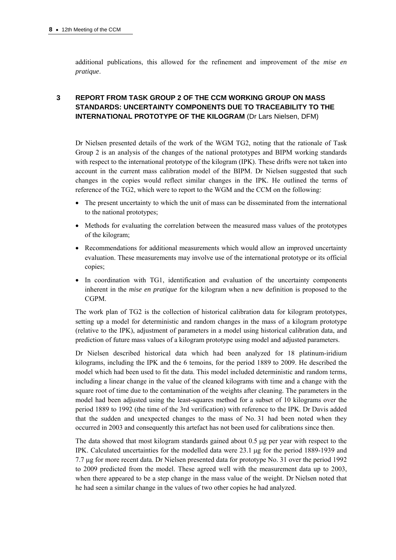additional publications, this allowed for the refinement and improvement of the *mise en pratique*.

# **3 REPORT FROM TASK GROUP 2 OF THE CCM WORKING GROUP ON MASS STANDARDS: UNCERTAINTY COMPONENTS DUE TO TRACEABILITY TO THE INTERNATIONAL PROTOTYPE OF THE KILOGRAM** (Dr Lars Nielsen, DFM)

Dr Nielsen presented details of the work of the WGM TG2, noting that the rationale of Task Group 2 is an analysis of the changes of the national prototypes and BIPM working standards with respect to the international prototype of the kilogram (IPK). These drifts were not taken into account in the current mass calibration model of the BIPM. Dr Nielsen suggested that such changes in the copies would reflect similar changes in the IPK. He outlined the terms of reference of the TG2, which were to report to the WGM and the CCM on the following:

- The present uncertainty to which the unit of mass can be disseminated from the international to the national prototypes;
- Methods for evaluating the correlation between the measured mass values of the prototypes of the kilogram;
- Recommendations for additional measurements which would allow an improved uncertainty evaluation. These measurements may involve use of the international prototype or its official copies;
- In coordination with TG1, identification and evaluation of the uncertainty components inherent in the *mise en pratique* for the kilogram when a new definition is proposed to the CGPM.

The work plan of TG2 is the collection of historical calibration data for kilogram prototypes, setting up a model for deterministic and random changes in the mass of a kilogram prototype (relative to the IPK), adjustment of parameters in a model using historical calibration data, and prediction of future mass values of a kilogram prototype using model and adjusted parameters.

Dr Nielsen described historical data which had been analyzed for 18 platinum-iridium kilograms, including the IPK and the 6 temoins, for the period 1889 to 2009. He described the model which had been used to fit the data. This model included deterministic and random terms, including a linear change in the value of the cleaned kilograms with time and a change with the square root of time due to the contamination of the weights after cleaning. The parameters in the model had been adjusted using the least-squares method for a subset of 10 kilograms over the period 1889 to 1992 (the time of the 3rd verification) with reference to the IPK. Dr Davis added that the sudden and unexpected changes to the mass of No. 31 had been noted when they occurred in 2003 and consequently this artefact has not been used for calibrations since then.

The data showed that most kilogram standards gained about  $0.5 \mu g$  per year with respect to the IPK. Calculated uncertainties for the modelled data were  $23.1 \mu$ g for the period 1889-1939 and 7.7 g for more recent data. Dr Nielsen presented data for prototype No. 31 over the period 1992 to 2009 predicted from the model. These agreed well with the measurement data up to 2003, when there appeared to be a step change in the mass value of the weight. Dr Nielsen noted that he had seen a similar change in the values of two other copies he had analyzed.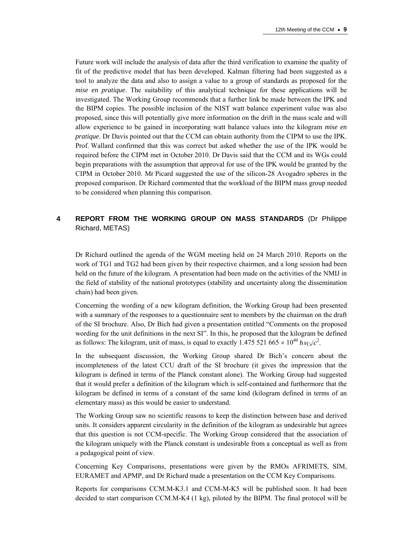Future work will include the analysis of data after the third verification to examine the quality of fit of the predictive model that has been developed. Kalman filtering had been suggested as a tool to analyze the data and also to assign a value to a group of standards as proposed for the *mise en pratique*. The suitability of this analytical technique for these applications will be investigated. The Working Group recommends that a further link be made between the IPK and the BIPM copies. The possible inclusion of the NIST watt balance experiment value was also proposed, since this will potentially give more information on the drift in the mass scale and will allow experience to be gained in incorporating watt balance values into the kilogram *mise en pratique*. Dr Davis pointed out that the CCM can obtain authority from the CIPM to use the IPK. Prof. Wallard confirmed that this was correct but asked whether the use of the IPK would be required before the CIPM met in October 2010. Dr Davis said that the CCM and its WGs could begin preparations with the assumption that approval for use of the IPK would be granted by the CIPM in October 2010. Mr Picard suggested the use of the silicon-28 Avogadro spheres in the proposed comparison. Dr Richard commented that the workload of the BIPM mass group needed to be considered when planning this comparison.

# **4 REPORT FROM THE WORKING GROUP ON MASS STANDARDS** (Dr Philippe Richard, METAS)

Dr Richard outlined the agenda of the WGM meeting held on 24 March 2010. Reports on the work of TG1 and TG2 had been given by their respective chairmen, and a long session had been held on the future of the kilogram. A presentation had been made on the activities of the NMIJ in the field of stability of the national prototypes (stability and uncertainty along the dissemination chain) had been given.

Concerning the wording of a new kilogram definition, the Working Group had been presented with a summary of the responses to a questionnaire sent to members by the chairman on the draft of the SI brochure. Also, Dr Bich had given a presentation entitled "Comments on the proposed wording for the unit definitions in the next SI". In this, he proposed that the kilogram be defined as follows: The kilogram, unit of mass, is equal to exactly 1.475 521 665  $\times 10^{40}$  *h* $v_{Cs}/c^2$ .

In the subsequent discussion, the Working Group shared Dr Bich's concern about the incompleteness of the latest CCU draft of the SI brochure (it gives the impression that the kilogram is defined in terms of the Planck constant alone). The Working Group had suggested that it would prefer a definition of the kilogram which is self-contained and furthermore that the kilogram be defined in terms of a constant of the same kind (kilogram defined in terms of an elementary mass) as this would be easier to understand.

The Working Group saw no scientific reasons to keep the distinction between base and derived units. It considers apparent circularity in the definition of the kilogram as undesirable but agrees that this question is not CCM-specific. The Working Group considered that the association of the kilogram uniquely with the Planck constant is undesirable from a conceptual as well as from a pedagogical point of view.

Concerning Key Comparisons, presentations were given by the RMOs AFRIMETS, SIM, EURAMET and APMP, and Dr Richard made a presentation on the CCM Key Comparisons.

Reports for comparisons CCM.M-K3.1 and CCM-M-K5 will be published soon. It had been decided to start comparison CCM.M-K4 (1 kg), piloted by the BIPM. The final protocol will be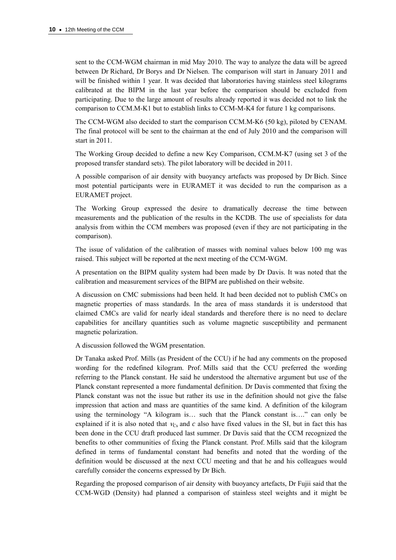sent to the CCM-WGM chairman in mid May 2010. The way to analyze the data will be agreed between Dr Richard, Dr Borys and Dr Nielsen. The comparison will start in January 2011 and will be finished within 1 year. It was decided that laboratories having stainless steel kilograms calibrated at the BIPM in the last year before the comparison should be excluded from participating. Due to the large amount of results already reported it was decided not to link the comparison to CCM.M-K1 but to establish links to CCM-M-K4 for future 1 kg comparisons.

The CCM-WGM also decided to start the comparison CCM.M-K6 (50 kg), piloted by CENAM. The final protocol will be sent to the chairman at the end of July 2010 and the comparison will start in 2011.

The Working Group decided to define a new Key Comparison, CCM.M-K7 (using set 3 of the proposed transfer standard sets). The pilot laboratory will be decided in 2011.

A possible comparison of air density with buoyancy artefacts was proposed by Dr Bich. Since most potential participants were in EURAMET it was decided to run the comparison as a EURAMET project.

The Working Group expressed the desire to dramatically decrease the time between measurements and the publication of the results in the KCDB. The use of specialists for data analysis from within the CCM members was proposed (even if they are not participating in the comparison).

The issue of validation of the calibration of masses with nominal values below 100 mg was raised. This subject will be reported at the next meeting of the CCM-WGM.

A presentation on the BIPM quality system had been made by Dr Davis. It was noted that the calibration and measurement services of the BIPM are published on their website.

A discussion on CMC submissions had been held. It had been decided not to publish CMCs on magnetic properties of mass standards. In the area of mass standards it is understood that claimed CMCs are valid for nearly ideal standards and therefore there is no need to declare capabilities for ancillary quantities such as volume magnetic susceptibility and permanent magnetic polarization.

A discussion followed the WGM presentation.

Dr Tanaka asked Prof. Mills (as President of the CCU) if he had any comments on the proposed wording for the redefined kilogram. Prof. Mills said that the CCU preferred the wording referring to the Planck constant. He said he understood the alternative argument but use of the Planck constant represented a more fundamental definition. Dr Davis commented that fixing the Planck constant was not the issue but rather its use in the definition should not give the false impression that action and mass are quantities of the same kind. A definition of the kilogram using the terminology "A kilogram is… such that the Planck constant is…." can only be explained if it is also noted that  $V_{\text{c}}$  and *c* also have fixed values in the SI, but in fact this has been done in the CCU draft produced last summer. Dr Davis said that the CCM recognized the benefits to other communities of fixing the Planck constant. Prof. Mills said that the kilogram defined in terms of fundamental constant had benefits and noted that the wording of the definition would be discussed at the next CCU meeting and that he and his colleagues would carefully consider the concerns expressed by Dr Bich.

Regarding the proposed comparison of air density with buoyancy artefacts, Dr Fujii said that the CCM-WGD (Density) had planned a comparison of stainless steel weights and it might be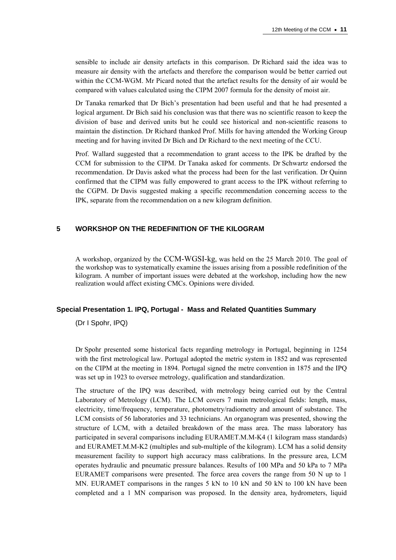sensible to include air density artefacts in this comparison. Dr Richard said the idea was to measure air density with the artefacts and therefore the comparison would be better carried out within the CCM-WGM. Mr Picard noted that the artefact results for the density of air would be compared with values calculated using the CIPM 2007 formula for the density of moist air.

Dr Tanaka remarked that Dr Bich's presentation had been useful and that he had presented a logical argument. Dr Bich said his conclusion was that there was no scientific reason to keep the division of base and derived units but he could see historical and non-scientific reasons to maintain the distinction. Dr Richard thanked Prof. Mills for having attended the Working Group meeting and for having invited Dr Bich and Dr Richard to the next meeting of the CCU.

Prof. Wallard suggested that a recommendation to grant access to the IPK be drafted by the CCM for submission to the CIPM. Dr Tanaka asked for comments. Dr Schwartz endorsed the recommendation. Dr Davis asked what the process had been for the last verification. Dr Quinn confirmed that the CIPM was fully empowered to grant access to the IPK without referring to the CGPM. Dr Davis suggested making a specific recommendation concerning access to the IPK, separate from the recommendation on a new kilogram definition.

## **5 WORKSHOP ON THE REDEFINITION OF THE KILOGRAM**

A workshop, organized by the CCM-WGSI-kg, was held on the 25 March 2010. The goal of the workshop was to systematically examine the issues arising from a possible redefinition of the kilogram. A number of important issues were debated at the workshop, including how the new realization would affect existing CMCs. Opinions were divided.

## **Special Presentation 1. IPQ, Portugal - Mass and Related Quantities Summary**

(Dr I Spohr, IPQ)

Dr Spohr presented some historical facts regarding metrology in Portugal, beginning in 1254 with the first metrological law. Portugal adopted the metric system in 1852 and was represented on the CIPM at the meeting in 1894. Portugal signed the metre convention in 1875 and the IPQ was set up in 1923 to oversee metrology, qualification and standardization.

The structure of the IPQ was described, with metrology being carried out by the Central Laboratory of Metrology (LCM). The LCM covers 7 main metrological fields: length, mass, electricity, time/frequency, temperature, photometry/radiometry and amount of substance. The LCM consists of 56 laboratories and 33 technicians. An organogram was presented, showing the structure of LCM, with a detailed breakdown of the mass area. The mass laboratory has participated in several comparisons including EURAMET.M.M-K4 (1 kilogram mass standards) and EURAMET.M.M-K2 (multiples and sub-multiple of the kilogram). LCM has a solid density measurement facility to support high accuracy mass calibrations. In the pressure area, LCM operates hydraulic and pneumatic pressure balances. Results of 100 MPa and 50 kPa to 7 MPa EURAMET comparisons were presented. The force area covers the range from 50 N up to 1 MN. EURAMET comparisons in the ranges 5 kN to 10 kN and 50 kN to 100 kN have been completed and a 1 MN comparison was proposed. In the density area, hydrometers, liquid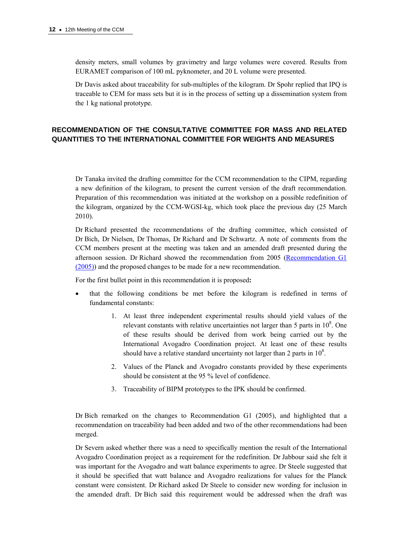density meters, small volumes by gravimetry and large volumes were covered. Results from EURAMET comparison of 100 mL pyknometer, and 20 L volume were presented.

Dr Davis asked about traceability for sub-multiples of the kilogram. Dr Spohr replied that IPQ is traceable to CEM for mass sets but it is in the process of setting up a dissemination system from the 1 kg national prototype.

# **RECOMMENDATION OF THE CONSULTATIVE COMMITTEE FOR MASS AND RELATED QUANTITIES TO THE INTERNATIONAL COMMITTEE FOR WEIGHTS AND MEASURES**

Dr Tanaka invited the drafting committee for the CCM recommendation to the CIPM, regarding a new definition of the kilogram, to present the current version of the draft recommendation. Preparation of this recommendation was initiated at the workshop on a possible redefinition of the kilogram, organized by the CCM-WGSI-kg, which took place the previous day (25 March 2010).

Dr Richard presented the recommendations of the drafting committee, which consisted of Dr Bich, Dr Nielsen, Dr Thomas, Dr Richard and Dr Schwartz. A note of comments from the CCM members present at the meeting was taken and an amended draft presented during the afternoon session. Dr Richard showed the recommendation from 2005 [\(Recommendation G1](http://www.bipm.org/utils/common/pdf/CCM9.pdf)  [\(2005\)](http://www.bipm.org/utils/common/pdf/CCM9.pdf)) and the proposed changes to be made for a new recommendation.

For the first bullet point in this recommendation it is proposed**:** 

- that the following conditions be met before the kilogram is redefined in terms of fundamental constants:
	- 1. At least three independent experimental results should yield values of the relevant constants with relative uncertainties not larger than 5 parts in  $10^8$ . One of these results should be derived from work being carried out by the International Avogadro Coordination project. At least one of these results should have a relative standard uncertainty not larger than 2 parts in  $10^8$ .
	- 2. Values of the Planck and Avogadro constants provided by these experiments should be consistent at the 95 % level of confidence.
	- 3. Traceability of BIPM prototypes to the IPK should be confirmed.

Dr Bich remarked on the changes to Recommendation G1 (2005), and highlighted that a recommendation on traceability had been added and two of the other recommendations had been merged.

Dr Severn asked whether there was a need to specifically mention the result of the International Avogadro Coordination project as a requirement for the redefinition. Dr Jabbour said she felt it was important for the Avogadro and watt balance experiments to agree. Dr Steele suggested that it should be specified that watt balance and Avogadro realizations for values for the Planck constant were consistent. Dr Richard asked Dr Steele to consider new wording for inclusion in the amended draft. Dr Bich said this requirement would be addressed when the draft was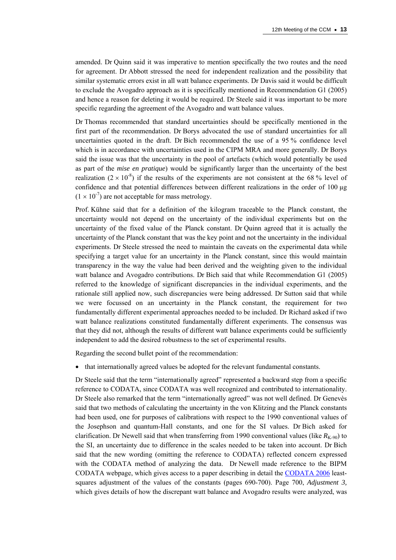amended. Dr Quinn said it was imperative to mention specifically the two routes and the need for agreement. Dr Abbott stressed the need for independent realization and the possibility that similar systematic errors exist in all watt balance experiments. Dr Davis said it would be difficult to exclude the Avogadro approach as it is specifically mentioned in Recommendation G1 (2005) and hence a reason for deleting it would be required. Dr Steele said it was important to be more specific regarding the agreement of the Avogadro and watt balance values.

Dr Thomas recommended that standard uncertainties should be specifically mentioned in the first part of the recommendation. Dr Borys advocated the use of standard uncertainties for all uncertainties quoted in the draft. Dr Bich recommended the use of a 95 % confidence level which is in accordance with uncertainties used in the CIPM MRA and more generally. Dr Borys said the issue was that the uncertainty in the pool of artefacts (which would potentially be used as part of the *mise en pratique*) would be significantly larger than the uncertainty of the best realization  $(2 \times 10^{-8})$  if the results of the experiments are not consistent at the 68 % level of confidence and that potential differences between different realizations in the order of 100 µg  $(1 \times 10^{-7})$  are not acceptable for mass metrology.

Prof. Kühne said that for a definition of the kilogram traceable to the Planck constant, the uncertainty would not depend on the uncertainty of the individual experiments but on the uncertainty of the fixed value of the Planck constant. Dr Quinn agreed that it is actually the uncertainty of the Planck constant that was the key point and not the uncertainty in the individual experiments. Dr Steele stressed the need to maintain the caveats on the experimental data while specifying a target value for an uncertainty in the Planck constant, since this would maintain transparency in the way the value had been derived and the weighting given to the individual watt balance and Avogadro contributions. Dr Bich said that while Recommendation G1 (2005) referred to the knowledge of significant discrepancies in the individual experiments, and the rationale still applied now, such discrepancies were being addressed. Dr Sutton said that while we were focussed on an uncertainty in the Planck constant, the requirement for two fundamentally different experimental approaches needed to be included. Dr Richard asked if two watt balance realizations constituted fundamentally different experiments. The consensus was that they did not, although the results of different watt balance experiments could be sufficiently independent to add the desired robustness to the set of experimental results.

Regarding the second bullet point of the recommendation:

that internationally agreed values be adopted for the relevant fundamental constants.

Dr Steele said that the term "internationally agreed" represented a backward step from a specific reference to CODATA, since CODATA was well recognized and contributed to internationality. Dr Steele also remarked that the term "internationally agreed" was not well defined. Dr Genevès said that two methods of calculating the uncertainty in the von Klitzing and the Planck constants had been used, one for purposes of calibrations with respect to the 1990 conventional values of the Josephson and quantum-Hall constants, and one for the SI values. Dr Bich asked for clarification. Dr Newell said that when transferring from 1990 conventional values (like  $R_{K-90}$ ) to the SI, an uncertainty due to difference in the scales needed to be taken into account. Dr Bich said that the new wording (omitting the reference to CODATA) reflected concern expressed with the CODATA method of analyzing the data. Dr Newell made reference to the BIPM CODATA webpage, which gives access to a paper describing in detail the [CODATA 2006](http://physics.nist.gov/cuu/Constants/RevModPhys_80_000633acc.pdf) leastsquares adjustment of the values of the constants (pages 690-700). Page 700, *Adjustment 3,*  which gives details of how the discrepant watt balance and Avogadro results were analyzed, was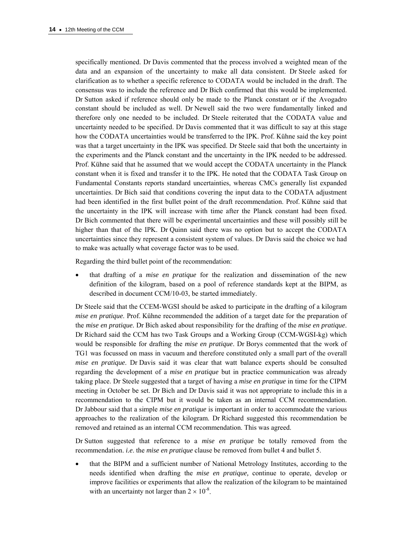specifically mentioned. Dr Davis commented that the process involved a weighted mean of the data and an expansion of the uncertainty to make all data consistent. Dr Steele asked for clarification as to whether a specific reference to CODATA would be included in the draft. The consensus was to include the reference and Dr Bich confirmed that this would be implemented. Dr Sutton asked if reference should only be made to the Planck constant or if the Avogadro constant should be included as well. Dr Newell said the two were fundamentally linked and therefore only one needed to be included. Dr Steele reiterated that the CODATA value and uncertainty needed to be specified. Dr Davis commented that it was difficult to say at this stage how the CODATA uncertainties would be transferred to the IPK. Prof. Kühne said the key point was that a target uncertainty in the IPK was specified. Dr Steele said that both the uncertainty in the experiments and the Planck constant and the uncertainty in the IPK needed to be addressed. Prof. Kühne said that he assumed that we would accept the CODATA uncertainty in the Planck constant when it is fixed and transfer it to the IPK. He noted that the CODATA Task Group on Fundamental Constants reports standard uncertainties, whereas CMCs generally list expanded uncertainties. Dr Bich said that conditions covering the input data to the CODATA adjustment had been identified in the first bullet point of the draft recommendation. Prof. Kühne said that the uncertainty in the IPK will increase with time after the Planck constant had been fixed. Dr Bich commented that there will be experimental uncertainties and these will possibly still be higher than that of the IPK. Dr Quinn said there was no option but to accept the CODATA uncertainties since they represent a consistent system of values. Dr Davis said the choice we had to make was actually what coverage factor was to be used.

Regarding the third bullet point of the recommendation:

 that drafting of a *mise en pratique* for the realization and dissemination of the new definition of the kilogram, based on a pool of reference standards kept at the BIPM, as described in document CCM/10-03, be started immediately.

Dr Steele said that the CCEM-WGSI should be asked to participate in the drafting of a kilogram *mise en pratique*. Prof. Kühne recommended the addition of a target date for the preparation of the *mise en pratique.* Dr Bich asked about responsibility for the drafting of the *mise en pratique*. Dr Richard said the CCM has two Task Groups and a Working Group (CCM-WGSI-kg) which would be responsible for drafting the *mise en pratique*. Dr Borys commented that the work of TG1 was focussed on mass in vacuum and therefore constituted only a small part of the overall *mise en pratique*. Dr Davis said it was clear that watt balance experts should be consulted regarding the development of a *mise en pratique* but in practice communication was already taking place. Dr Steele suggested that a target of having a *mise en pratique* in time for the CIPM meeting in October be set. Dr Bich and Dr Davis said it was not appropriate to include this in a recommendation to the CIPM but it would be taken as an internal CCM recommendation. Dr Jabbour said that a simple *mise en pratique* is important in order to accommodate the various approaches to the realization of the kilogram. Dr Richard suggested this recommendation be removed and retained as an internal CCM recommendation. This was agreed.

Dr Sutton suggested that reference to a *mise en pratique* be totally removed from the recommendation. *i.e.* the *mise en pratique* clause be removed from bullet 4 and bullet 5.

 that the BIPM and a sufficient number of National Metrology Institutes, according to the needs identified when drafting the *mise en pratique,* continue to operate, develop or improve facilities or experiments that allow the realization of the kilogram to be maintained with an uncertainty not larger than  $2 \times 10^{-8}$ .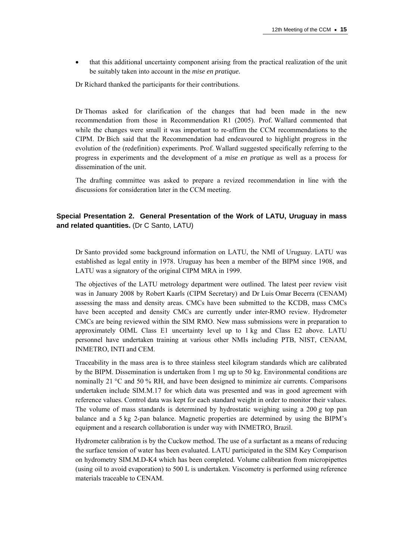that this additional uncertainty component arising from the practical realization of the unit be suitably taken into account in the *mise en pratique.*

Dr Richard thanked the participants for their contributions.

Dr Thomas asked for clarification of the changes that had been made in the new recommendation from those in Recommendation R1 (2005). Prof. Wallard commented that while the changes were small it was important to re-affirm the CCM recommendations to the CIPM. Dr Bich said that the Recommendation had endeavoured to highlight progress in the evolution of the (redefinition) experiments. Prof. Wallard suggested specifically referring to the progress in experiments and the development of a *mise en pratique* as well as a process for dissemination of the unit.

The drafting committee was asked to prepare a revized recommendation in line with the discussions for consideration later in the CCM meeting.

## **Special Presentation 2. General Presentation of the Work of LATU, Uruguay in mass and related quantities.** (Dr C Santo, LATU)

Dr Santo provided some background information on LATU, the NMI of Uruguay. LATU was established as legal entity in 1978. Uruguay has been a member of the BIPM since 1908, and LATU was a signatory of the original CIPM MRA in 1999.

The objectives of the LATU metrology department were outlined. The latest peer review visit was in January 2008 by Robert Kaarls (CIPM Secretary) and Dr Luis Omar Becerra (CENAM) assessing the mass and density areas. CMCs have been submitted to the KCDB, mass CMCs have been accepted and density CMCs are currently under inter-RMO review. Hydrometer CMCs are being reviewed within the SIM RMO. New mass submissions were in preparation to approximately OIML Class E1 uncertainty level up to 1 kg and Class E2 above. LATU personnel have undertaken training at various other NMIs including PTB, NIST, CENAM, INMETRO, INTI and CEM.

Traceability in the mass area is to three stainless steel kilogram standards which are calibrated by the BIPM. Dissemination is undertaken from 1 mg up to 50 kg. Environmental conditions are nominally 21 °C and 50 % RH, and have been designed to minimize air currents. Comparisons undertaken include SIM.M.17 for which data was presented and was in good agreement with reference values. Control data was kept for each standard weight in order to monitor their values. The volume of mass standards is determined by hydrostatic weighing using a 200 g top pan balance and a 5 kg 2-pan balance. Magnetic properties are determined by using the BIPM's equipment and a research collaboration is under way with INMETRO, Brazil.

Hydrometer calibration is by the Cuckow method. The use of a surfactant as a means of reducing the surface tension of water has been evaluated. LATU participated in the SIM Key Comparison on hydrometry SIM.M.D-K4 which has been completed. Volume calibration from micropipettes (using oil to avoid evaporation) to 500 L is undertaken. Viscometry is performed using reference materials traceable to CENAM.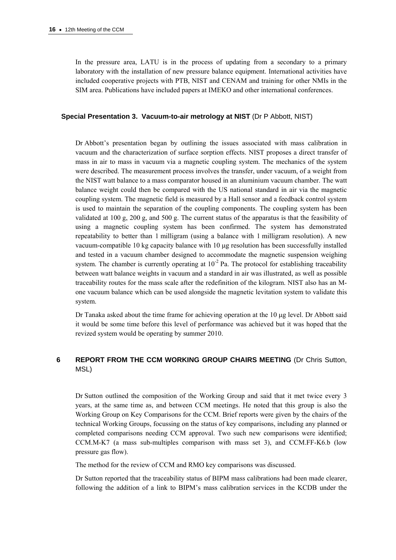In the pressure area, LATU is in the process of updating from a secondary to a primary laboratory with the installation of new pressure balance equipment. International activities have included cooperative projects with PTB, NIST and CENAM and training for other NMIs in the SIM area. Publications have included papers at IMEKO and other international conferences.

## **Special Presentation 3. Vacuum-to-air metrology at NIST** (Dr P Abbott, NIST)

Dr Abbott's presentation began by outlining the issues associated with mass calibration in vacuum and the characterization of surface sorption effects. NIST proposes a direct transfer of mass in air to mass in vacuum via a magnetic coupling system. The mechanics of the system were described. The measurement process involves the transfer, under vacuum, of a weight from the NIST watt balance to a mass comparator housed in an aluminium vacuum chamber. The watt balance weight could then be compared with the US national standard in air via the magnetic coupling system. The magnetic field is measured by a Hall sensor and a feedback control system is used to maintain the separation of the coupling components. The coupling system has been validated at 100 g, 200 g, and 500 g. The current status of the apparatus is that the feasibility of using a magnetic coupling system has been confirmed. The system has demonstrated repeatability to better than 1 milligram (using a balance with 1 milligram resolution). A new vacuum-compatible 10 kg capacity balance with 10 µg resolution has been successfully installed and tested in a vacuum chamber designed to accommodate the magnetic suspension weighing system. The chamber is currently operating at  $10^{-2}$  Pa. The protocol for establishing traceability between watt balance weights in vacuum and a standard in air was illustrated, as well as possible traceability routes for the mass scale after the redefinition of the kilogram. NIST also has an Mone vacuum balance which can be used alongside the magnetic levitation system to validate this system.

Dr Tanaka asked about the time frame for achieving operation at the  $10 \mu g$  level. Dr Abbott said it would be some time before this level of performance was achieved but it was hoped that the revized system would be operating by summer 2010.

## **6 REPORT FROM THE CCM WORKING GROUP CHAIRS MEETING** (Dr Chris Sutton, MSL)

Dr Sutton outlined the composition of the Working Group and said that it met twice every 3 years, at the same time as, and between CCM meetings. He noted that this group is also the Working Group on Key Comparisons for the CCM. Brief reports were given by the chairs of the technical Working Groups, focussing on the status of key comparisons, including any planned or completed comparisons needing CCM approval. Two such new comparisons were identified; CCM.M-K7 (a mass sub-multiples comparison with mass set 3), and CCM.FF-K6.b (low pressure gas flow).

The method for the review of CCM and RMO key comparisons was discussed.

Dr Sutton reported that the traceability status of BIPM mass calibrations had been made clearer, following the addition of a link to BIPM's mass calibration services in the KCDB under the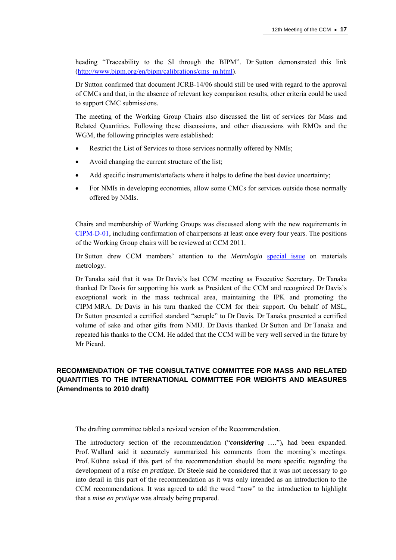heading "Traceability to the SI through the BIPM". Dr Sutton demonstrated this link ([http://www.bipm.org/en/bipm/calibrations/cms\\_m.html\)](http://www.bipm.org/en/bipm/calibrations/cms_m.html).

Dr Sutton confirmed that document JCRB-14/06 should still be used with regard to the approval of CMCs and that, in the absence of relevant key comparison results, other criteria could be used to support CMC submissions.

The meeting of the Working Group Chairs also discussed the list of services for Mass and Related Quantities. Following these discussions, and other discussions with RMOs and the WGM, the following principles were established:

- Restrict the List of Services to those services normally offered by NMIs;
- Avoid changing the current structure of the list;
- Add specific instruments/artefacts where it helps to define the best device uncertainty;
- For NMIs in developing economies, allow some CMCs for services outside those normally offered by NMIs.

Chairs and membership of Working Groups was discussed along with the new requirements in [CIPM-D-01](http://www.bipm.org/utils/en/pdf/CIPM-D-01.pdf), including confirmation of chairpersons at least once every four years. The positions of the Working Group chairs will be reviewed at CCM 2011.

Dr Sutton drew CCM members' attention to the *Metrologia* [special issue](http://iopscience.iop.org/0026-1394/47/2) on materials metrology.

Dr Tanaka said that it was Dr Davis's last CCM meeting as Executive Secretary. Dr Tanaka thanked Dr Davis for supporting his work as President of the CCM and recognized Dr Davis's exceptional work in the mass technical area, maintaining the IPK and promoting the CIPM MRA. Dr Davis in his turn thanked the CCM for their support. On behalf of MSL, Dr Sutton presented a certified standard "scruple" to Dr Davis. Dr Tanaka presented a certified volume of sake and other gifts from NMIJ. Dr Davis thanked Dr Sutton and Dr Tanaka and repeated his thanks to the CCM. He added that the CCM will be very well served in the future by Mr Picard.

# **RECOMMENDATION OF THE CONSULTATIVE COMMITTEE FOR MASS AND RELATED QUANTITIES TO THE INTERNATIONAL COMMITTEE FOR WEIGHTS AND MEASURES (Amendments to 2010 draft)**

The drafting committee tabled a revized version of the Recommendation.

The introductory section of the recommendation ("*considering* ….")*,* had been expanded. Prof. Wallard said it accurately summarized his comments from the morning's meetings. Prof. Kühne asked if this part of the recommendation should be more specific regarding the development of a *mise en pratique*. Dr Steele said he considered that it was not necessary to go into detail in this part of the recommendation as it was only intended as an introduction to the CCM recommendations. It was agreed to add the word "now" to the introduction to highlight that a *mise en pratique* was already being prepared.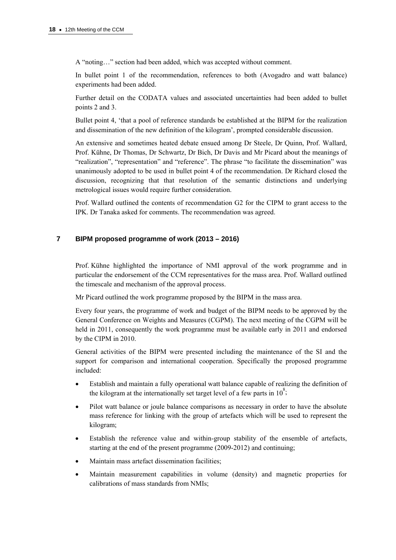A "noting…" section had been added, which was accepted without comment.

In bullet point 1 of the recommendation, references to both (Avogadro and watt balance) experiments had been added.

Further detail on the CODATA values and associated uncertainties had been added to bullet points 2 and 3.

Bullet point 4, 'that a pool of reference standards be established at the BIPM for the realization and dissemination of the new definition of the kilogram', prompted considerable discussion.

An extensive and sometimes heated debate ensued among Dr Steele, Dr Quinn, Prof. Wallard, Prof. Kühne, Dr Thomas, Dr Schwartz, Dr Bich, Dr Davis and Mr Picard about the meanings of "realization", "representation" and "reference". The phrase "to facilitate the dissemination" was unanimously adopted to be used in bullet point 4 of the recommendation. Dr Richard closed the discussion, recognizing that that resolution of the semantic distinctions and underlying metrological issues would require further consideration.

Prof. Wallard outlined the contents of recommendation G2 for the CIPM to grant access to the IPK. Dr Tanaka asked for comments. The recommendation was agreed.

## **7 BIPM proposed programme of work (2013 – 2016)**

Prof. Kühne highlighted the importance of NMI approval of the work programme and in particular the endorsement of the CCM representatives for the mass area. Prof. Wallard outlined the timescale and mechanism of the approval process.

Mr Picard outlined the work programme proposed by the BIPM in the mass area.

Every four years, the programme of work and budget of the BIPM needs to be approved by the General Conference on Weights and Measures (CGPM). The next meeting of the CGPM will be held in 2011, consequently the work programme must be available early in 2011 and endorsed by the CIPM in 2010.

General activities of the BIPM were presented including the maintenance of the SI and the support for comparison and international cooperation. Specifically the proposed programme included:

- Establish and maintain a fully operational watt balance capable of realizing the definition of the kilogram at the internationally set target level of a few parts in  $10^8$ ;
- Pilot watt balance or joule balance comparisons as necessary in order to have the absolute mass reference for linking with the group of artefacts which will be used to represent the kilogram;
- Establish the reference value and within-group stability of the ensemble of artefacts, starting at the end of the present programme (2009-2012) and continuing;
- Maintain mass artefact dissemination facilities;
- Maintain measurement capabilities in volume (density) and magnetic properties for calibrations of mass standards from NMIs;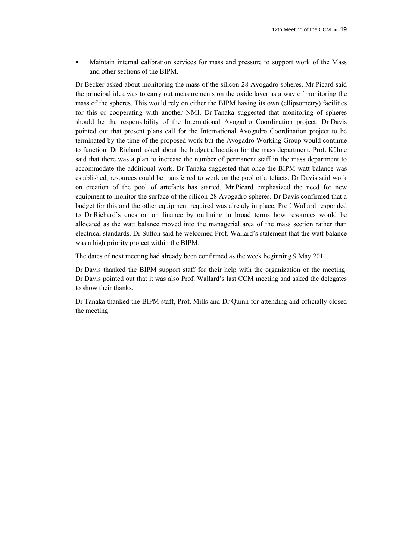Maintain internal calibration services for mass and pressure to support work of the Mass and other sections of the BIPM.

Dr Becker asked about monitoring the mass of the silicon-28 Avogadro spheres. Mr Picard said the principal idea was to carry out measurements on the oxide layer as a way of monitoring the mass of the spheres. This would rely on either the BIPM having its own (ellipsometry) facilities for this or cooperating with another NMI. Dr Tanaka suggested that monitoring of spheres should be the responsibility of the International Avogadro Coordination project. Dr Davis pointed out that present plans call for the International Avogadro Coordination project to be terminated by the time of the proposed work but the Avogadro Working Group would continue to function. Dr Richard asked about the budget allocation for the mass department. Prof. Kühne said that there was a plan to increase the number of permanent staff in the mass department to accommodate the additional work. Dr Tanaka suggested that once the BIPM watt balance was established, resources could be transferred to work on the pool of artefacts. Dr Davis said work on creation of the pool of artefacts has started. Mr Picard emphasized the need for new equipment to monitor the surface of the silicon-28 Avogadro spheres. Dr Davis confirmed that a budget for this and the other equipment required was already in place. Prof. Wallard responded to Dr Richard's question on finance by outlining in broad terms how resources would be allocated as the watt balance moved into the managerial area of the mass section rather than electrical standards. Dr Sutton said he welcomed Prof. Wallard's statement that the watt balance was a high priority project within the BIPM.

The dates of next meeting had already been confirmed as the week beginning 9 May 2011.

Dr Davis thanked the BIPM support staff for their help with the organization of the meeting. Dr Davis pointed out that it was also Prof. Wallard's last CCM meeting and asked the delegates to show their thanks.

Dr Tanaka thanked the BIPM staff, Prof. Mills and Dr Quinn for attending and officially closed the meeting.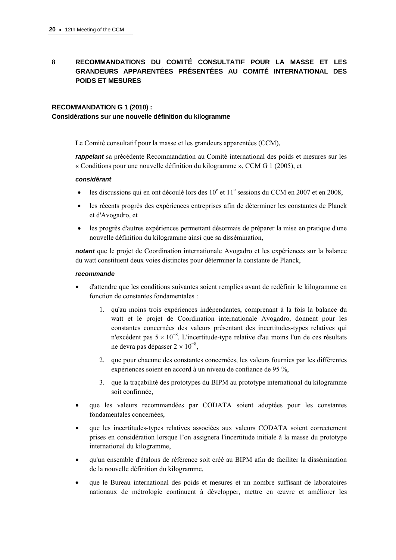# **8 RECOMMANDATIONS DU COMITÉ CONSULTATIF POUR LA MASSE ET LES GRANDEURS APPARENTÉES PRÉSENTÉES AU COMITÉ INTERNATIONAL DES POIDS ET MESURES**

## **RECOMMANDATION G 1 (2010) :**

## **Considérations sur une nouvelle définition du kilogramme**

Le Comité consultatif pour la masse et les grandeurs apparentées (CCM),

*rappelant* sa précédente Recommandation au Comité international des poids et mesures sur les « Conditions pour une nouvelle définition du kilogramme », CCM G 1 (2005), et

## *considérant*

- $\bullet$  les discussions qui en ont découlé lors des 10<sup>e</sup> et 11<sup>e</sup> sessions du CCM en 2007 et en 2008,
- les récents progrès des expériences entreprises afin de déterminer les constantes de Planck et d'Avogadro, et
- les progrès d'autres expériences permettant désormais de préparer la mise en pratique d'une nouvelle définition du kilogramme ainsi que sa dissémination,

*notant* que le projet de Coordination internationale Avogadro et les expériences sur la balance du watt constituent deux voies distinctes pour déterminer la constante de Planck,

## *recommande*

- d'attendre que les conditions suivantes soient remplies avant de redéfinir le kilogramme en fonction de constantes fondamentales :
	- 1. qu'au moins trois expériences indépendantes, comprenant à la fois la balance du watt et le projet de Coordination internationale Avogadro, donnent pour les constantes concernées des valeurs présentant des incertitudes-types relatives qui n'excédent pas  $5 \times 10^{-8}$ . L'incertitude-type relative d'au moins l'un de ces résultats ne devra pas dépasser 2 × 10<sup>-8</sup>,
	- 2. que pour chacune des constantes concernées, les valeurs fournies par les différentes expériences soient en accord à un niveau de confiance de 95 %,
	- 3. que la traçabilité des prototypes du BIPM au prototype international du kilogramme soit confirmée,
- que les valeurs recommandées par CODATA soient adoptées pour les constantes fondamentales concernées,
- que les incertitudes-types relatives associées aux valeurs CODATA soient correctement prises en considération lorsque l'on assignera l'incertitude initiale à la masse du prototype international du kilogramme,
- qu'un ensemble d'étalons de référence soit créé au BIPM afin de faciliter la dissémination de la nouvelle définition du kilogramme,
- que le Bureau international des poids et mesures et un nombre suffisant de laboratoires nationaux de métrologie continuent à développer, mettre en œuvre et améliorer les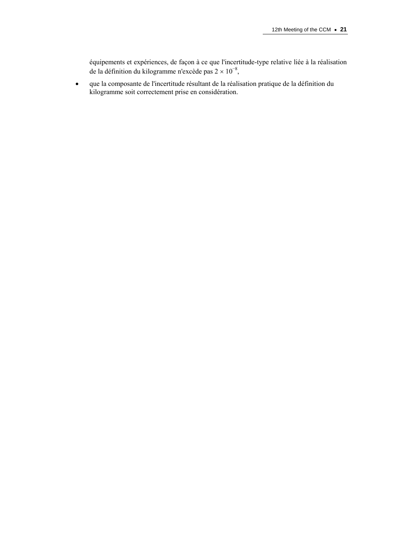équipements et expériences, de façon à ce que l'incertitude-type relative liée à la réalisation de la définition du kilogramme n'excède pas  $2 \times 10^{-8}$ ,

 que la composante de l'incertitude résultant de la réalisation pratique de la définition du kilogramme soit correctement prise en considération.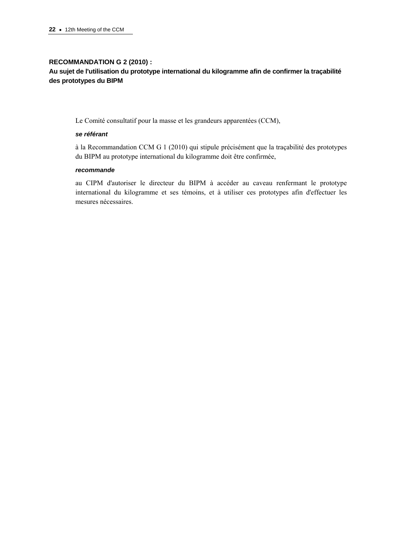## **RECOMMANDATION G 2 (2010) :**

# **Au sujet de l'utilisation du prototype international du kilogramme afin de confirmer la traçabilité des prototypes du BIPM**

Le Comité consultatif pour la masse et les grandeurs apparentées (CCM),

## *se référant*

à la Recommandation CCM G 1 (2010) qui stipule précisément que la traçabilité des prototypes du BIPM au prototype international du kilogramme doit être confirmée,

#### *recommande*

au CIPM d'autoriser le directeur du BIPM à accéder au caveau renfermant le prototype international du kilogramme et ses témoins, et à utiliser ces prototypes afin d'effectuer les mesures nécessaires.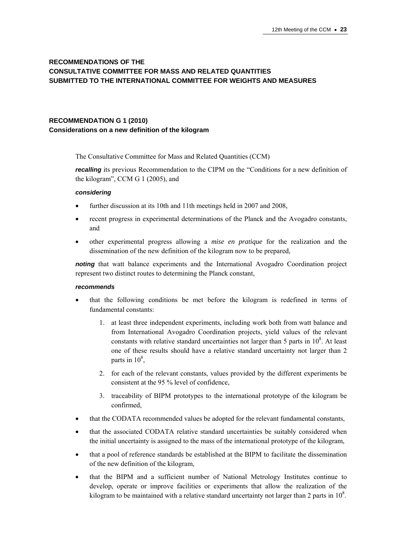# **RECOMMENDATIONS OF THE CONSULTATIVE COMMITTEE FOR MASS AND RELATED QUANTITIES SUBMITTED TO THE INTERNATIONAL COMMITTEE FOR WEIGHTS AND MEASURES**

# **RECOMMENDATION G 1 (2010) Considerations on a new definition of the kilogram**

The Consultative Committee for Mass and Related Quantities (CCM)

*recalling* its previous Recommendation to the CIPM on the "Conditions for a new definition of the kilogram", CCM G 1 (2005), and

## *considering*

- further discussion at its 10th and 11th meetings held in 2007 and 2008,
- recent progress in experimental determinations of the Planck and the Avogadro constants, and
- other experimental progress allowing a *mise en pratique* for the realization and the dissemination of the new definition of the kilogram now to be prepared,

*noting* that watt balance experiments and the International Avogadro Coordination project represent two distinct routes to determining the Planck constant,

## *recommends*

- that the following conditions be met before the kilogram is redefined in terms of fundamental constants:
	- 1. at least three independent experiments, including work both from watt balance and from International Avogadro Coordination projects, yield values of the relevant constants with relative standard uncertainties not larger than 5 parts in  $10^8$ . At least one of these results should have a relative standard uncertainty not larger than 2 parts in  $10^8$ ,
	- 2. for each of the relevant constants, values provided by the different experiments be consistent at the 95 % level of confidence,
	- 3. traceability of BIPM prototypes to the international prototype of the kilogram be confirmed,
- that the CODATA recommended values be adopted for the relevant fundamental constants,
- that the associated CODATA relative standard uncertainties be suitably considered when the initial uncertainty is assigned to the mass of the international prototype of the kilogram,
- that a pool of reference standards be established at the BIPM to facilitate the dissemination of the new definition of the kilogram,
- that the BIPM and a sufficient number of National Metrology Institutes continue to develop, operate or improve facilities or experiments that allow the realization of the kilogram to be maintained with a relative standard uncertainty not larger than 2 parts in  $10^8$ .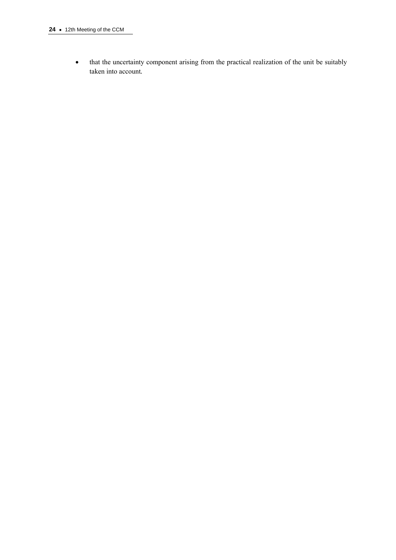• that the uncertainty component arising from the practical realization of the unit be suitably taken into account*.*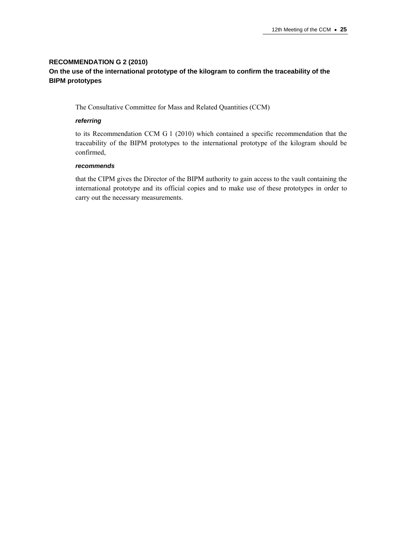# **RECOMMENDATION G 2 (2010) On the use of the international prototype of the kilogram to confirm the traceability of the BIPM prototypes**

The Consultative Committee for Mass and Related Quantities (CCM)

## *referring*

to its Recommendation CCM G 1 (2010) which contained a specific recommendation that the traceability of the BIPM prototypes to the international prototype of the kilogram should be confirmed,

## *recommends*

that the CIPM gives the Director of the BIPM authority to gain access to the vault containing the international prototype and its official copies and to make use of these prototypes in order to carry out the necessary measurements.